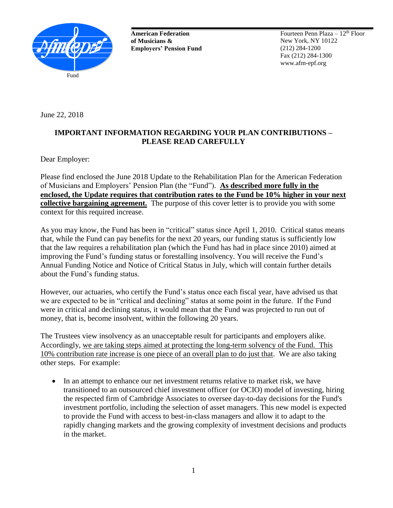

**American Federation of Musicians & Employers' Pension Fund**

Fourteen Penn Plaza  $-12<sup>th</sup>$  Floor New York, NY 10122 (212) 284-1200 Fax (212) 284-1300 www.afm-epf.org

June 22, 2018

## **IMPORTANT INFORMATION REGARDING YOUR PLAN CONTRIBUTIONS – PLEASE READ CAREFULLY**

Dear Employer:

Please find enclosed the June 2018 Update to the Rehabilitation Plan for the American Federation of Musicians and Employers' Pension Plan (the "Fund"). **As described more fully in the enclosed, the Update requires that contribution rates to the Fund be 10% higher in your next collective bargaining agreement.** The purpose of this cover letter is to provide you with some context for this required increase.

As you may know, the Fund has been in "critical" status since April 1, 2010. Critical status means that, while the Fund can pay benefits for the next 20 years, our funding status is sufficiently low that the law requires a rehabilitation plan (which the Fund has had in place since 2010) aimed at improving the Fund's funding status or forestalling insolvency. You will receive the Fund's Annual Funding Notice and Notice of Critical Status in July, which will contain further details about the Fund's funding status.

However, our actuaries, who certify the Fund's status once each fiscal year, have advised us that we are expected to be in "critical and declining" status at some point in the future. If the Fund were in critical and declining status, it would mean that the Fund was projected to run out of money, that is, become insolvent, within the following 20 years.

The Trustees view insolvency as an unacceptable result for participants and employers alike. Accordingly, we are taking steps aimed at protecting the long-term solvency of the Fund. This 10% contribution rate increase is one piece of an overall plan to do just that. We are also taking other steps. For example:

• In an attempt to enhance our net investment returns relative to market risk, we have transitioned to an outsourced chief investment officer (or OCIO) model of investing, hiring the respected firm of Cambridge Associates to oversee day-to-day decisions for the Fund's investment portfolio, including the selection of asset managers. This new model is expected to provide the Fund with access to best-in-class managers and allow it to adapt to the rapidly changing markets and the growing complexity of investment decisions and products in the market.